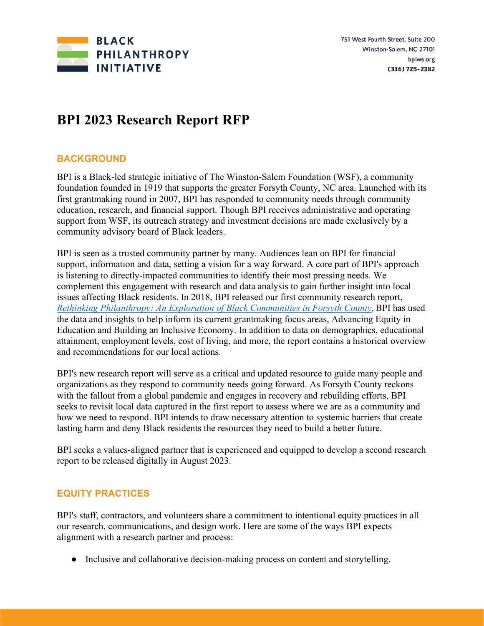

# **BPI 2023 Research Report RFP**

### **BACKGROUND**

BPI is a Black-led strategic initiative of The Winston-Salem Foundation (WSF), a community foundation founded in 1919 that supports the greater Forsyth County, NC area. Launched with its first grantmaking round in 2007, BPI has responded to community needs through community education, research, and financial support. Though BPI receives administrative and operating support from WSF, its outreach strategy and investment decisions are made exclusively by a community advisory board of Black leaders.

BPI is seen as a trusted community partner by many. Audiences lean on BPI for financial support, information and data, setting a vision for a way forward. A core part of BPI's approach is listening to directly-impacted communities to identify their most pressing needs. We complement this engagement with research and data analysis to gain further insight into local issues affecting Black residents. In 2018, BPI released our first community research report, *[Rethinking Philanthropy: An Exploration of Black Communities in Forsyth County](https://issuu.com/winston-salemfoundation/docs/bpi_report_rethinking_philanthropy_?fr=sMjIzNjkwMTg1)*. BPI has used the data and insights to help inform its current grantmaking focus areas, Advancing Equity in Education and Building an Inclusive Economy. In addition to data on demographics, educational attainment, employment levels, cost of living, and more, the report contains a historical overview and recommendations for our local actions.

BPI's new research report will serve as a critical and updated resource to guide many people and organizations as they respond to community needs going forward. As Forsyth County reckons with the fallout from a global pandemic and engages in recovery and rebuilding efforts, BPI seeks to revisit local data captured in the first report to assess where we are as a community and how we need to respond. BPI intends to draw necessary attention to systemic barriers that create lasting harm and deny Black residents the resources they need to build a better future.

BPI seeks a values-aligned partner that is experienced and equipped to develop a second research report to be released digitally in August 2023.

## **EQUITY PRACTICES**

BPI's staff, contractors, and volunteers share a commitment to intentional equity practices in all our research, communications, and design work. Here are some of the ways BPI expects alignment with a research partner and process:

● Inclusive and collaborative decision-making process on content and storytelling.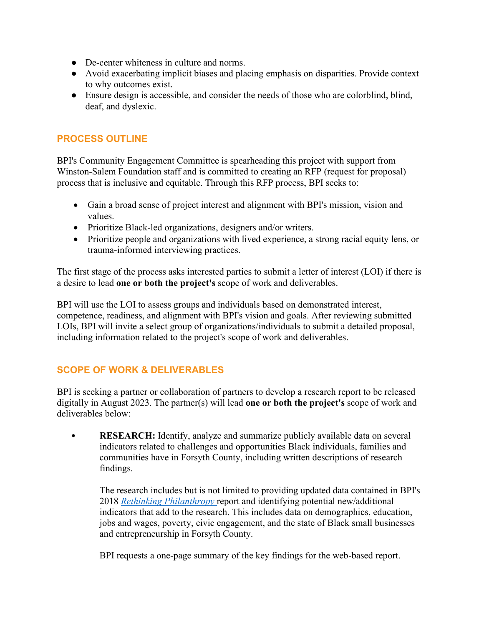- De-center whiteness in culture and norms.
- Avoid exacerbating implicit biases and placing emphasis on disparities. Provide context to why outcomes exist.
- Ensure design is accessible, and consider the needs of those who are colorblind, blind, deaf, and dyslexic.

#### **PROCESS OUTLINE**

BPI's Community Engagement Committee is spearheading this project with support from Winston-Salem Foundation staff and is committed to creating an RFP (request for proposal) process that is inclusive and equitable. Through this RFP process, BPI seeks to:

- Gain a broad sense of project interest and alignment with BPI's mission, vision and values.
- Prioritize Black-led organizations, designers and/or writers.
- Prioritize people and organizations with lived experience, a strong racial equity lens, or trauma-informed interviewing practices.

The first stage of the process asks interested parties to submit a letter of interest (LOI) if there is a desire to lead **one or both the project's** scope of work and deliverables.

BPI will use the LOI to assess groups and individuals based on demonstrated interest, competence, readiness, and alignment with BPI's vision and goals. After reviewing submitted LOIs, BPI will invite a select group of organizations/individuals to submit a detailed proposal, including information related to the project's scope of work and deliverables.

### **SCOPE OF WORK & DELIVERABLES**

BPI is seeking a partner or collaboration of partners to develop a research report to be released digitally in August 2023. The partner(s) will lead **one or both the project's** scope of work and deliverables below:

• **RESEARCH:** Identify, analyze and summarize publicly available data on several indicators related to challenges and opportunities Black individuals, families and communities have in Forsyth County, including written descriptions of research findings.

The research includes but is not limited to providing updated data contained in BPI's 2018 *[Rethinking Philanthropy](https://issuu.com/winston-salemfoundation/docs/bpi_report_rethinking_philanthropy_?fr=sMjIzNjkwMTg1)* report and identifying potential new/additional indicators that add to the research. This includes data on demographics, education, jobs and wages, poverty, civic engagement, and the state of Black small businesses and entrepreneurship in Forsyth County.

BPI requests a one-page summary of the key findings for the web-based report.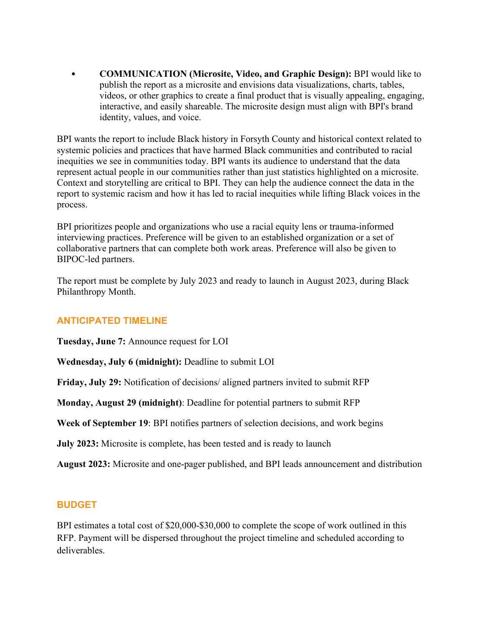• **COMMUNICATION (Microsite, Video, and Graphic Design):** BPI would like to publish the report as a microsite and envisions data visualizations, charts, tables, videos, or other graphics to create a final product that is visually appealing, engaging, interactive, and easily shareable. The microsite design must align with BPI's brand identity, values, and voice.

BPI wants the report to include Black history in Forsyth County and historical context related to systemic policies and practices that have harmed Black communities and contributed to racial inequities we see in communities today. BPI wants its audience to understand that the data represent actual people in our communities rather than just statistics highlighted on a microsite. Context and storytelling are critical to BPI. They can help the audience connect the data in the report to systemic racism and how it has led to racial inequities while lifting Black voices in the process.

BPI prioritizes people and organizations who use a racial equity lens or trauma-informed interviewing practices. Preference will be given to an established organization or a set of collaborative partners that can complete both work areas. Preference will also be given to BIPOC-led partners.

The report must be complete by July 2023 and ready to launch in August 2023, during Black Philanthropy Month.

### **ANTICIPATED TIMELINE**

**Tuesday, June 7:** Announce request for LOI

**Wednesday, July 6 (midnight):** Deadline to submit LOI

**Friday, July 29:** Notification of decisions/ aligned partners invited to submit RFP

**Monday, August 29 (midnight)**: Deadline for potential partners to submit RFP

**Week of September 19**: BPI notifies partners of selection decisions, and work begins

**July 2023:** Microsite is complete, has been tested and is ready to launch

**August 2023:** Microsite and one-pager published, and BPI leads announcement and distribution

### **BUDGET**

BPI estimates a total cost of \$20,000-\$30,000 to complete the scope of work outlined in this RFP. Payment will be dispersed throughout the project timeline and scheduled according to deliverables.